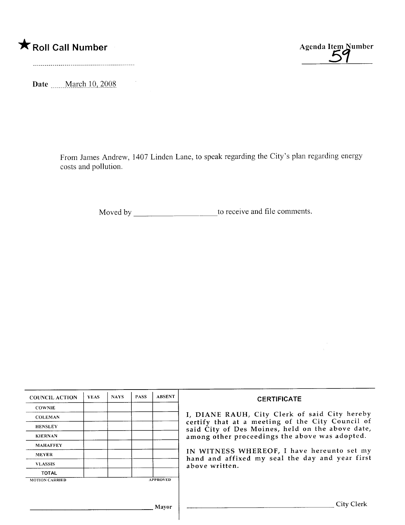



Date \_\_\_\_\_March 10, 2008

 $\sim$   $\sim$ 

From James Andrew, 1407 Linden Lane, to speak regarding the City's plan regarding energy costs and pollution.

Moved by to receive and fie comments.

| <b>COUNCIL ACTION</b> | <b>YEAS</b> | <b>NAYS</b> | <b>PASS</b> | <b>ABSENT</b>   | <b>CERTIFICATE</b>                                                                                                                                                                                                                                                                                                         |
|-----------------------|-------------|-------------|-------------|-----------------|----------------------------------------------------------------------------------------------------------------------------------------------------------------------------------------------------------------------------------------------------------------------------------------------------------------------------|
| <b>COWNIE</b>         |             |             |             |                 | I, DIANE RAUH, City Clerk of said City hereby<br>certify that at a meeting of the City Council of<br>said City of Des Moines, held on the above date,<br>among other proceedings the above was adopted.<br>IN WITNESS WHEREOF, I have hereunto set my<br>hand and affixed my seal the day and year first<br>above written. |
| <b>COLEMAN</b>        |             |             |             |                 |                                                                                                                                                                                                                                                                                                                            |
| <b>HENSLEY</b>        |             |             |             |                 |                                                                                                                                                                                                                                                                                                                            |
| <b>KIERNAN</b>        |             |             |             |                 |                                                                                                                                                                                                                                                                                                                            |
| <b>MAHAFFEY</b>       |             |             |             |                 |                                                                                                                                                                                                                                                                                                                            |
| <b>MEYER</b>          |             |             |             |                 |                                                                                                                                                                                                                                                                                                                            |
| <b>VLASSIS</b>        |             |             |             |                 |                                                                                                                                                                                                                                                                                                                            |
| <b>TOTAL</b>          |             |             |             |                 |                                                                                                                                                                                                                                                                                                                            |
| <b>MOTION CARRIED</b> |             |             |             | <b>APPROVED</b> |                                                                                                                                                                                                                                                                                                                            |
|                       |             |             |             |                 |                                                                                                                                                                                                                                                                                                                            |
|                       |             |             |             |                 |                                                                                                                                                                                                                                                                                                                            |
| Mayor                 |             |             |             |                 | City Clerk                                                                                                                                                                                                                                                                                                                 |
|                       |             |             |             |                 |                                                                                                                                                                                                                                                                                                                            |